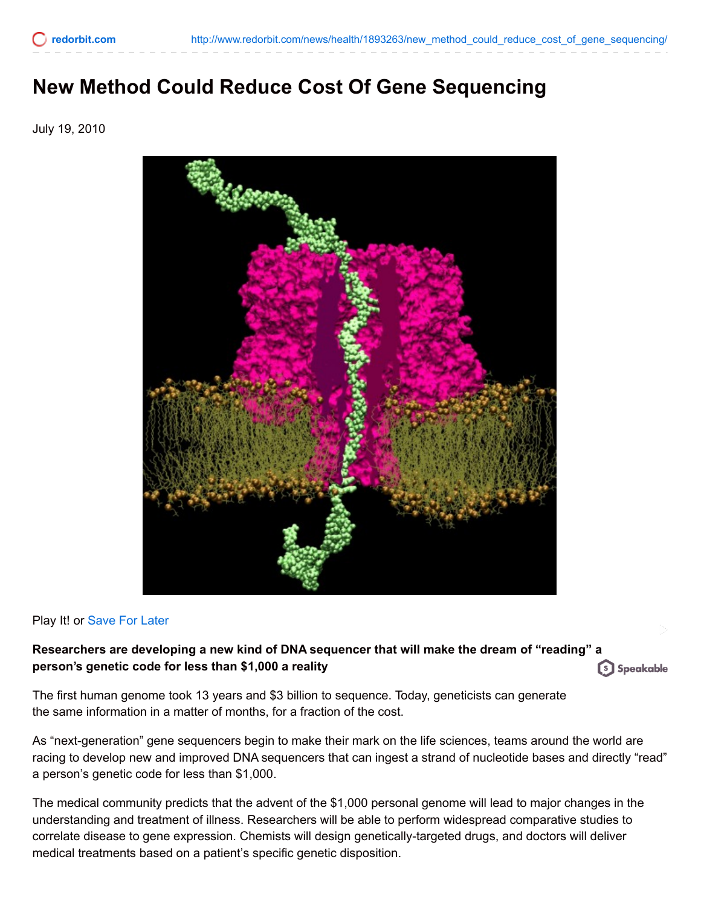## **New Method Could Reduce Cost Of Gene Sequencing**

July 19, 2010



## Play It! or [Save](http://www.redorbit.com/news/health/1893263/new_method_could_reduce_cost_of_gene_sequencing/) For Later

## **Researchers are developing a new kind of DNA sequencer that will make the dream of "reading" a person's genetic code for less than \$1,000 a reality** [s] Speakable

The first human genome took 13 years and \$3 billion to sequence. Today, geneticists can generate the same information in a matter of months, for a fraction of the cost.

As "next-generation" gene sequencers begin to make their mark on the life sciences, teams around the world are racing to develop new and improved DNA sequencers that can ingest a strand of nucleotide bases and directly "read" a person's genetic code for less than \$1,000.

The medical community predicts that the advent of the \$1,000 personal genome will lead to major changes in the understanding and treatment of illness. Researchers will be able to perform widespread comparative studies to correlate disease to gene expression. Chemists will design genetically-targeted drugs, and doctors will deliver medical treatments based on a patient's specific genetic disposition.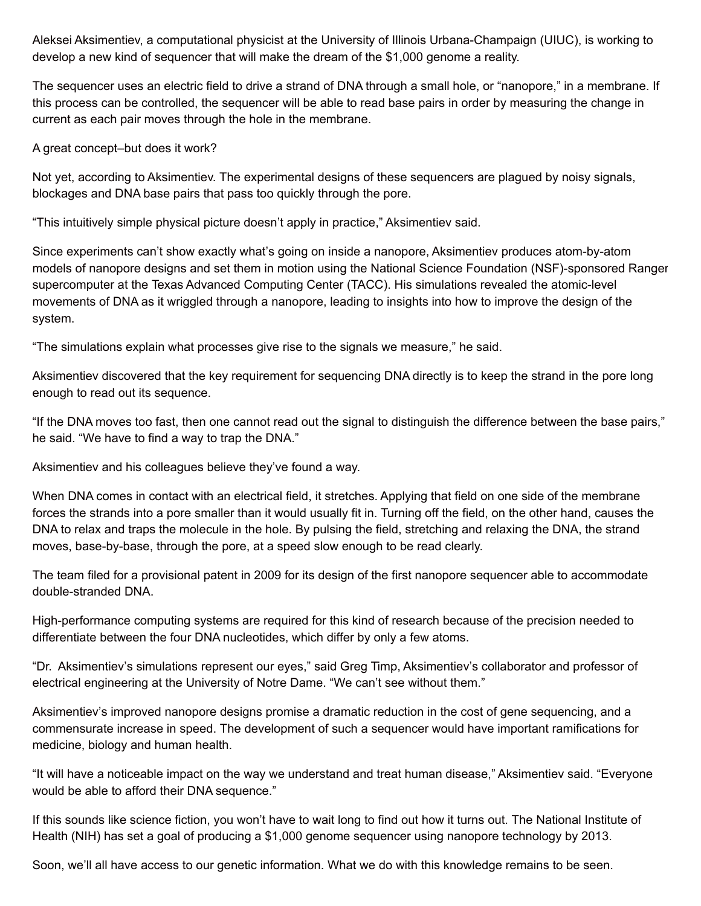Aleksei Aksimentiev, a computational physicist at the University of Illinois Urbana-Champaign (UIUC), is working to develop a new kind of sequencer that will make the dream of the \$1,000 genome a reality.

The sequencer uses an electric field to drive a strand of DNA through a small hole, or "nanopore," in a membrane. If this process can be controlled, the sequencer will be able to read base pairs in order by measuring the change in current as each pair moves through the hole in the membrane.

A great concept–but does it work?

Not yet, according to Aksimentiev. The experimental designs of these sequencers are plagued by noisy signals, blockages and DNA base pairs that pass too quickly through the pore.

"This intuitively simple physical picture doesn't apply in practice," Aksimentiev said.

Since experiments can't show exactly what's going on inside a nanopore, Aksimentiev produces atom-by-atom models of nanopore designs and set them in motion using the National Science Foundation (NSF)-sponsored Ranger supercomputer at the Texas Advanced Computing Center (TACC). His simulations revealed the atomic-level movements of DNA as it wriggled through a nanopore, leading to insights into how to improve the design of the system.

"The simulations explain what processes give rise to the signals we measure," he said.

Aksimentiev discovered that the key requirement for sequencing DNA directly is to keep the strand in the pore long enough to read out its sequence.

"If the DNA moves too fast, then one cannot read out the signal to distinguish the difference between the base pairs," he said. "We have to find a way to trap the DNA."

Aksimentiev and his colleagues believe they've found a way.

When DNA comes in contact with an electrical field, it stretches. Applying that field on one side of the membrane forces the strands into a pore smaller than it would usually fit in. Turning off the field, on the other hand, causes the DNA to relax and traps the molecule in the hole. By pulsing the field, stretching and relaxing the DNA, the strand moves, base-by-base, through the pore, at a speed slow enough to be read clearly.

The team filed for a provisional patent in 2009 for its design of the first nanopore sequencer able to accommodate double-stranded DNA.

High-performance computing systems are required for this kind of research because of the precision needed to differentiate between the four DNA nucleotides, which differ by only a few atoms.

"Dr. Aksimentiev's simulations represent our eyes," said Greg Timp, Aksimentiev's collaborator and professor of electrical engineering at the University of Notre Dame. "We can't see without them."

Aksimentiev's improved nanopore designs promise a dramatic reduction in the cost of gene sequencing, and a commensurate increase in speed. The development of such a sequencer would have important ramifications for medicine, biology and human health.

"It will have a noticeable impact on the way we understand and treat human disease," Aksimentiev said. "Everyone would be able to afford their DNA sequence."

If this sounds like science fiction, you won't have to wait long to find out how it turns out. The National Institute of Health (NIH) has set a goal of producing a \$1,000 genome sequencer using nanopore technology by 2013.

Soon, we'll all have access to our genetic information. What we do with this knowledge remains to be seen.